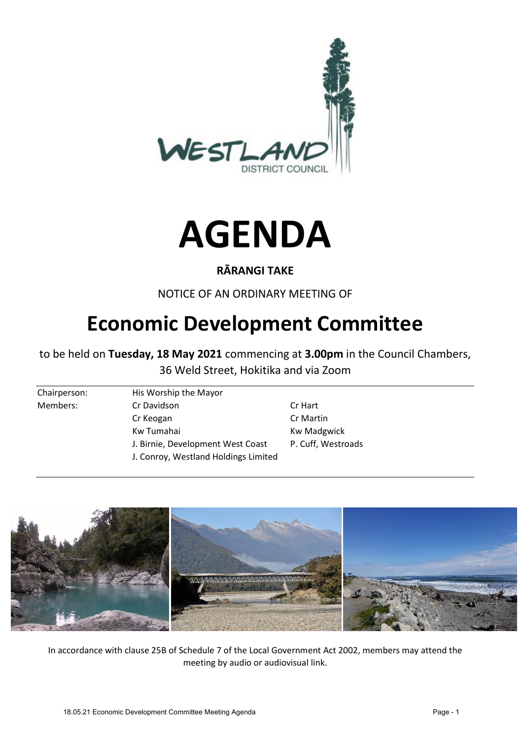



## **RĀRANGI TAKE**

NOTICE OF AN ORDINARY MEETING OF

# **Economic Development Committee**

to be held on **Tuesday, 18 May 2021** commencing at **3.00pm** in the Council Chambers, 36 Weld Street, Hokitika and via Zoom

Chairperson: His Worship the Mayor Members: Cr Davidson Cr Hart Cr Keogan Cr Martin Kw Tumahai **Kw Madgwick** J. Birnie, Development West Coast P. Cuff, Westroads J. Conroy, Westland Holdings Limited



In accordance with clause 25B of Schedule 7 of the Local Government Act 2002, members may attend the meeting by audio or audiovisual link.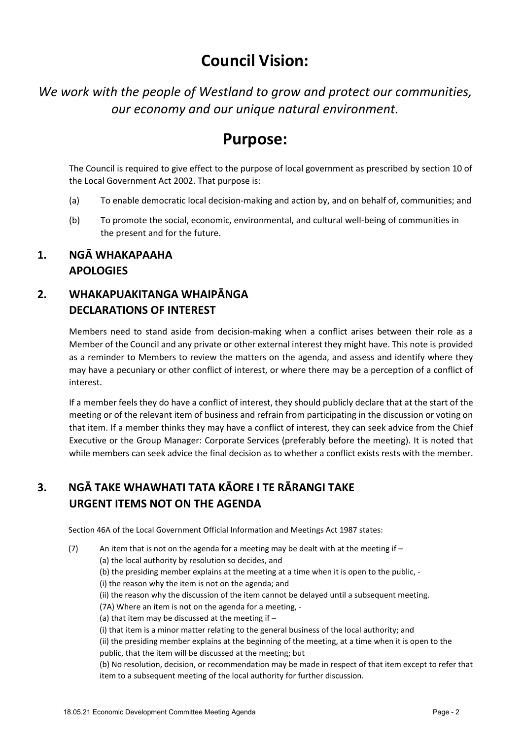# **Council Vision:**

*We work with the people of Westland to grow and protect our communities, our economy and our unique natural environment.* 

## **Purpose:**

The Council is required to give effect to the purpose of local government as prescribed by section 10 of the Local Government Act 2002. That purpose is:

- (a) To enable democratic local decision-making and action by, and on behalf of, communities; and
- (b) To promote the social, economic, environmental, and cultural well-being of communities in the present and for the future.

## **1. NGĀ WHAKAPAAHA APOLOGIES**

## **2. WHAKAPUAKITANGA WHAIPĀNGA DECLARATIONS OF INTEREST**

Members need to stand aside from decision-making when a conflict arises between their role as a Member of the Council and any private or other external interest they might have. This note is provided as a reminder to Members to review the matters on the agenda, and assess and identify where they may have a pecuniary or other conflict of interest, or where there may be a perception of a conflict of interest.

If a member feels they do have a conflict of interest, they should publicly declare that at the start of the meeting or of the relevant item of business and refrain from participating in the discussion or voting on that item. If a member thinks they may have a conflict of interest, they can seek advice from the Chief Executive or the Group Manager: Corporate Services (preferably before the meeting). It is noted that while members can seek advice the final decision as to whether a conflict exists rests with the member.

## **3. NGĀ TAKE WHAWHATI TATA KĀORE I TE RĀRANGI TAKE URGENT ITEMS NOT ON THE AGENDA**

Section 46A of the Local Government Official Information and Meetings Act 1987 states:

(7) An item that is not on the agenda for a meeting may be dealt with at the meeting if  $-$ 

(a) the local authority by resolution so decides, and

- (b) the presiding member explains at the meeting at a time when it is open to the public, -
- (i) the reason why the item is not on the agenda; and
	- (ii) the reason why the discussion of the item cannot be delayed until a subsequent meeting.

(7A) Where an item is not on the agenda for a meeting, -

- (a) that item may be discussed at the meeting if  $-$
- (i) that item is a minor matter relating to the general business of the local authority; and

(ii) the presiding member explains at the beginning of the meeting, at a time when it is open to the public, that the item will be discussed at the meeting; but

(b) No resolution, decision, or recommendation may be made in respect of that item except to refer that item to a subsequent meeting of the local authority for further discussion.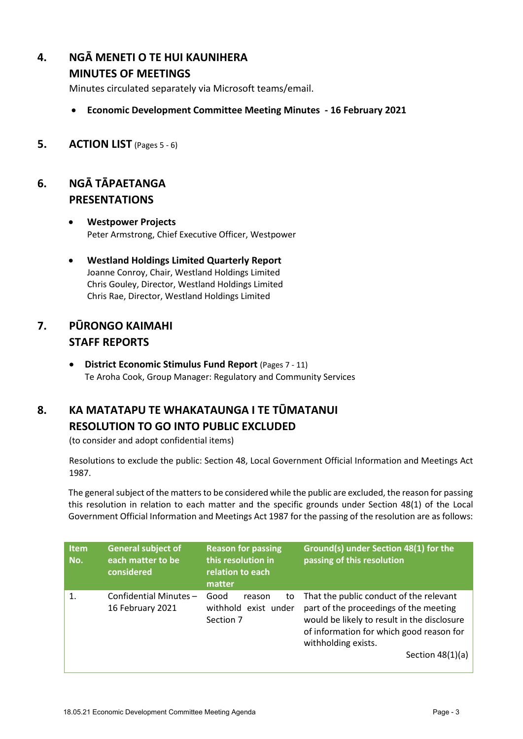## **4. NGĀ MENETI O TE HUI KAUNIHERA**

### **MINUTES OF MEETINGS**

Minutes circulated separately via Microsoft teams/email.

- **Economic Development Committee Meeting Minutes 16 February 2021**
- **5. ACTION LIST** (Pages 5 ‐ 6)

## **6. NGĀ TĀPAETANGA PRESENTATIONS**

- **Westpower Projects** Peter Armstrong, Chief Executive Officer, Westpower
- **Westland Holdings Limited Quarterly Report**  Joanne Conroy, Chair, Westland Holdings Limited Chris Gouley, Director, Westland Holdings Limited Chris Rae, Director, Westland Holdings Limited

## **7. PŪRONGO KAIMAHI STAFF REPORTS**

 **District Economic Stimulus Fund Report** (Pages 7 ‐ 11) Te Aroha Cook, Group Manager: Regulatory and Community Services

## **8. KA MATATAPU TE WHAKATAUNGA I TE TŪMATANUI RESOLUTION TO GO INTO PUBLIC EXCLUDED**

(to consider and adopt confidential items)

Resolutions to exclude the public: Section 48, Local Government Official Information and Meetings Act 1987.

The general subject of the matters to be considered while the public are excluded, the reason for passing this resolution in relation to each matter and the specific grounds under Section 48(1) of the Local Government Official Information and Meetings Act 1987 for the passing of the resolution are as follows:

| <b>Item</b><br>No. | <b>General subject of</b><br>each matter to be<br>considered | <b>Reason for passing</b><br>this resolution in<br>relation to each<br>matter | Ground(s) under Section 48(1) for the<br>passing of this resolution                                                                                                                                                       |
|--------------------|--------------------------------------------------------------|-------------------------------------------------------------------------------|---------------------------------------------------------------------------------------------------------------------------------------------------------------------------------------------------------------------------|
| 1.                 | Confidential Minutes-<br>16 February 2021                    | Good<br>to<br>reason<br>withhold exist under<br>Section 7                     | That the public conduct of the relevant<br>part of the proceedings of the meeting<br>would be likely to result in the disclosure<br>of information for which good reason for<br>withholding exists.<br>Section $48(1)(a)$ |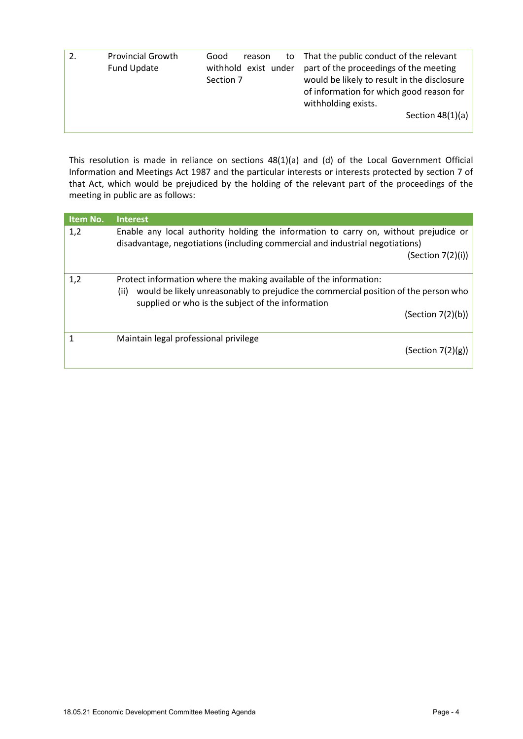| <b>Provincial Growth</b><br>Fund Update | Good<br>to<br>reason<br>withhold exist under<br>Section 7 | That the public conduct of the relevant<br>part of the proceedings of the meeting<br>would be likely to result in the disclosure<br>of information for which good reason for<br>withholding exists.<br>Section $48(1)(a)$ |
|-----------------------------------------|-----------------------------------------------------------|---------------------------------------------------------------------------------------------------------------------------------------------------------------------------------------------------------------------------|
|                                         |                                                           |                                                                                                                                                                                                                           |

This resolution is made in reliance on sections 48(1)(a) and (d) of the Local Government Official Information and Meetings Act 1987 and the particular interests or interests protected by section 7 of that Act, which would be prejudiced by the holding of the relevant part of the proceedings of the meeting in public are as follows:

| 1,2 | Enable any local authority holding the information to carry on, without prejudice or<br>disadvantage, negotiations (including commercial and industrial negotiations)<br>(Section 7(2)(i))                             |  |
|-----|------------------------------------------------------------------------------------------------------------------------------------------------------------------------------------------------------------------------|--|
|     |                                                                                                                                                                                                                        |  |
| 1,2 | Protect information where the making available of the information:<br>would be likely unreasonably to prejudice the commercial position of the person who<br>(ii)<br>supplied or who is the subject of the information |  |
|     | (Section 7(2)(b))                                                                                                                                                                                                      |  |
|     | Maintain legal professional privilege<br>(Section 7(2)(g))                                                                                                                                                             |  |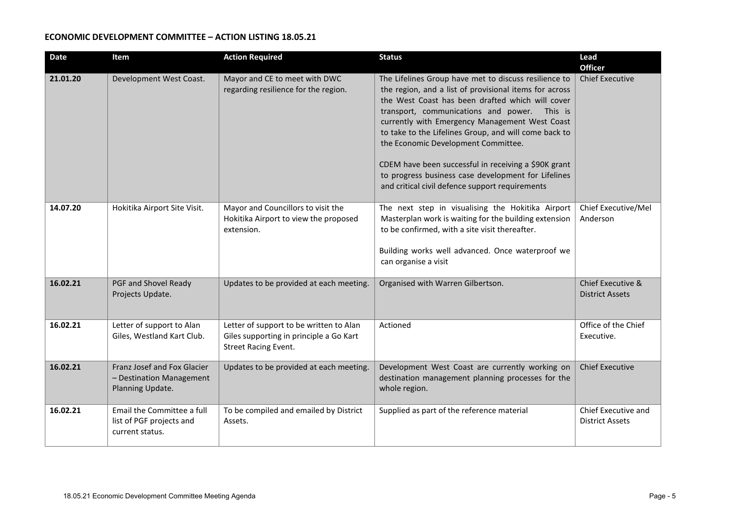#### **ECONOMIC DEVELOPMENT COMMITTEE – ACTION LISTING 18.05.21**

| <b>Date</b> | Item                                                                        | <b>Action Required</b>                                                                                            | <b>Status</b>                                                                                                                                                                                                                                                                                                                                                                                                                                                                                                                           | Lead<br><b>Officer</b>                        |
|-------------|-----------------------------------------------------------------------------|-------------------------------------------------------------------------------------------------------------------|-----------------------------------------------------------------------------------------------------------------------------------------------------------------------------------------------------------------------------------------------------------------------------------------------------------------------------------------------------------------------------------------------------------------------------------------------------------------------------------------------------------------------------------------|-----------------------------------------------|
| 21.01.20    | Development West Coast.                                                     | Mayor and CE to meet with DWC<br>regarding resilience for the region.                                             | The Lifelines Group have met to discuss resilience to<br>the region, and a list of provisional items for across<br>the West Coast has been drafted which will cover<br>transport, communications and power. This is<br>currently with Emergency Management West Coast<br>to take to the Lifelines Group, and will come back to<br>the Economic Development Committee.<br>CDEM have been successful in receiving a \$90K grant<br>to progress business case development for Lifelines<br>and critical civil defence support requirements | <b>Chief Executive</b>                        |
| 14.07.20    | Hokitika Airport Site Visit.                                                | Mayor and Councillors to visit the<br>Hokitika Airport to view the proposed<br>extension.                         | The next step in visualising the Hokitika Airport<br>Masterplan work is waiting for the building extension<br>to be confirmed, with a site visit thereafter.<br>Building works well advanced. Once waterproof we<br>can organise a visit                                                                                                                                                                                                                                                                                                | Chief Executive/Mel<br>Anderson               |
| 16.02.21    | PGF and Shovel Ready<br>Projects Update.                                    | Updates to be provided at each meeting.                                                                           | Organised with Warren Gilbertson.                                                                                                                                                                                                                                                                                                                                                                                                                                                                                                       | Chief Executive &<br><b>District Assets</b>   |
| 16.02.21    | Letter of support to Alan<br>Giles, Westland Kart Club.                     | Letter of support to be written to Alan<br>Giles supporting in principle a Go Kart<br><b>Street Racing Event.</b> | Actioned                                                                                                                                                                                                                                                                                                                                                                                                                                                                                                                                | Office of the Chief<br>Executive.             |
| 16.02.21    | Franz Josef and Fox Glacier<br>- Destination Management<br>Planning Update. | Updates to be provided at each meeting.                                                                           | Development West Coast are currently working on<br>destination management planning processes for the<br>whole region.                                                                                                                                                                                                                                                                                                                                                                                                                   | <b>Chief Executive</b>                        |
| 16.02.21    | Email the Committee a full<br>list of PGF projects and<br>current status.   | To be compiled and emailed by District<br>Assets.                                                                 | Supplied as part of the reference material                                                                                                                                                                                                                                                                                                                                                                                                                                                                                              | Chief Executive and<br><b>District Assets</b> |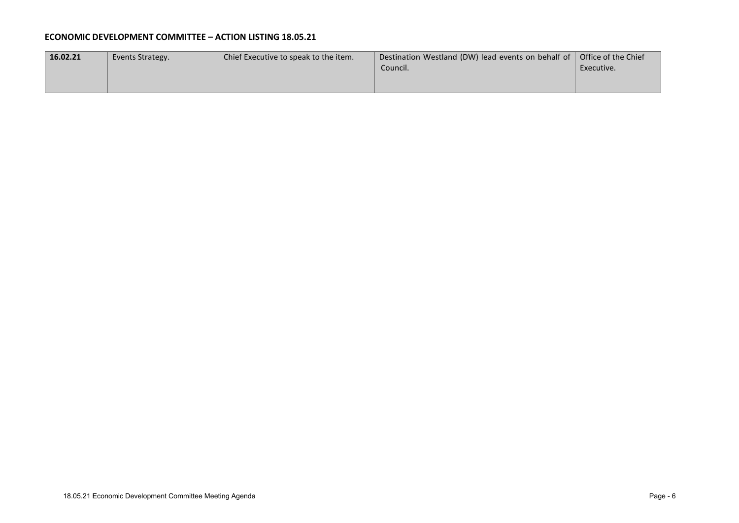#### **ECONOMIC DEVELOPMENT COMMITTEE – ACTION LISTING 18.05.21**

| 16.02.21 | Events Strategy. | Chief Executive to speak to the item. | Destination Westland (DW) lead events on behalf of $\vert$ Office of the Chief |            |
|----------|------------------|---------------------------------------|--------------------------------------------------------------------------------|------------|
|          |                  |                                       | Council.                                                                       | Executive. |
|          |                  |                                       |                                                                                |            |
|          |                  |                                       |                                                                                |            |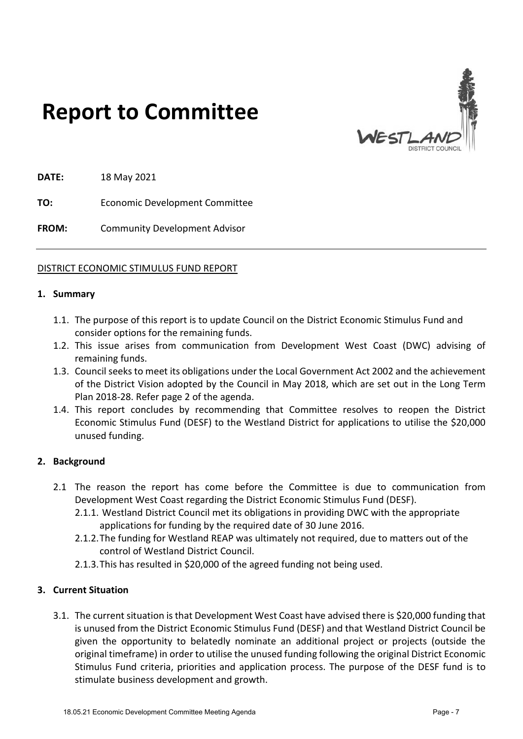

# **Report to Committee**

**DATE:** 18 May 2021

**TO:** Economic Development Committee

**FROM:** Community Development Advisor

#### DISTRICT ECONOMIC STIMULUS FUND REPORT

#### **1. Summary**

- 1.1. The purpose of this report is to update Council on the District Economic Stimulus Fund and consider options for the remaining funds.
- 1.2. This issue arises from communication from Development West Coast (DWC) advising of remaining funds.
- 1.3. Council seeks to meet its obligations under the Local Government Act 2002 and the achievement of the District Vision adopted by the Council in May 2018, which are set out in the Long Term Plan 2018-28. Refer page 2 of the agenda.
- 1.4. This report concludes by recommending that Committee resolves to reopen the District Economic Stimulus Fund (DESF) to the Westland District for applications to utilise the \$20,000 unused funding.

#### **2. Background**

- 2.1 The reason the report has come before the Committee is due to communication from Development West Coast regarding the District Economic Stimulus Fund (DESF).
	- 2.1.1. Westland District Council met its obligations in providing DWC with the appropriate applications for funding by the required date of 30 June 2016.
	- 2.1.2.The funding for Westland REAP was ultimately not required, due to matters out of the control of Westland District Council.
	- 2.1.3.This has resulted in \$20,000 of the agreed funding not being used.

#### **3. Current Situation**

3.1. The current situation is that Development West Coast have advised there is \$20,000 funding that is unused from the District Economic Stimulus Fund (DESF) and that Westland District Council be given the opportunity to belatedly nominate an additional project or projects (outside the original timeframe) in order to utilise the unused funding following the original District Economic Stimulus Fund criteria, priorities and application process. The purpose of the DESF fund is to stimulate business development and growth.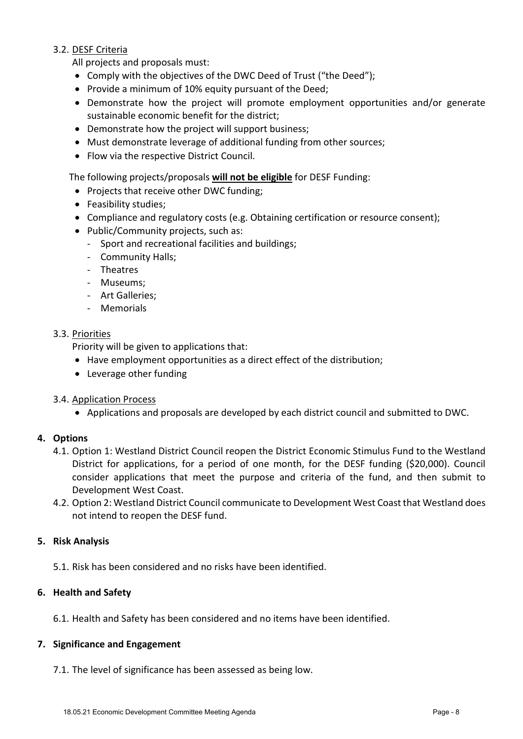#### 3.2. DESF Criteria

All projects and proposals must:

- Comply with the objectives of the DWC Deed of Trust ("the Deed");
- Provide a minimum of 10% equity pursuant of the Deed;
- Demonstrate how the project will promote employment opportunities and/or generate sustainable economic benefit for the district;
- Demonstrate how the project will support business;
- Must demonstrate leverage of additional funding from other sources;
- Flow via the respective District Council.

The following projects/proposals **will not be eligible** for DESF Funding:

- Projects that receive other DWC funding;
- Feasibility studies:
- Compliance and regulatory costs (e.g. Obtaining certification or resource consent);
- Public/Community projects, such as:
	- Sport and recreational facilities and buildings;
	- Community Halls;
	- Theatres
	- Museums;
	- Art Galleries;
	- Memorials

#### 3.3. Priorities

Priority will be given to applications that:

- Have employment opportunities as a direct effect of the distribution;
- Leverage other funding
- 3.4. Application Process
	- Applications and proposals are developed by each district council and submitted to DWC.

#### **4. Options**

- 4.1. Option 1: Westland District Council reopen the District Economic Stimulus Fund to the Westland District for applications, for a period of one month, for the DESF funding (\$20,000). Council consider applications that meet the purpose and criteria of the fund, and then submit to Development West Coast.
- 4.2. Option 2: Westland District Council communicate to Development West Coast that Westland does not intend to reopen the DESF fund.

#### **5. Risk Analysis**

5.1. Risk has been considered and no risks have been identified.

#### **6. Health and Safety**

6.1. Health and Safety has been considered and no items have been identified.

#### **7. Significance and Engagement**

7.1. The level of significance has been assessed as being low.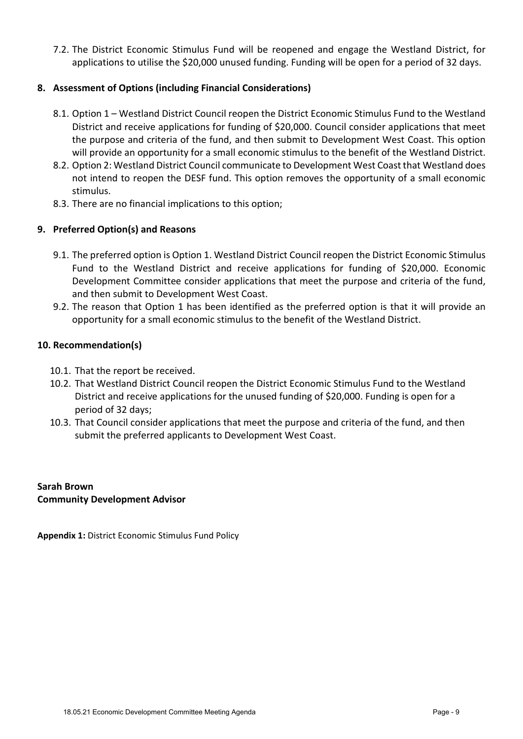7.2. The District Economic Stimulus Fund will be reopened and engage the Westland District, for applications to utilise the \$20,000 unused funding. Funding will be open for a period of 32 days.

#### **8. Assessment of Options (including Financial Considerations)**

- 8.1. Option 1 Westland District Council reopen the District Economic Stimulus Fund to the Westland District and receive applications for funding of \$20,000. Council consider applications that meet the purpose and criteria of the fund, and then submit to Development West Coast. This option will provide an opportunity for a small economic stimulus to the benefit of the Westland District.
- 8.2. Option 2: Westland District Council communicate to Development West Coast that Westland does not intend to reopen the DESF fund. This option removes the opportunity of a small economic stimulus.
- 8.3. There are no financial implications to this option;

#### **9. Preferred Option(s) and Reasons**

- 9.1. The preferred option is Option 1. Westland District Council reopen the District Economic Stimulus Fund to the Westland District and receive applications for funding of \$20,000. Economic Development Committee consider applications that meet the purpose and criteria of the fund, and then submit to Development West Coast.
- 9.2. The reason that Option 1 has been identified as the preferred option is that it will provide an opportunity for a small economic stimulus to the benefit of the Westland District.

#### **10. Recommendation(s)**

- 10.1. That the report be received.
- 10.2. That Westland District Council reopen the District Economic Stimulus Fund to the Westland District and receive applications for the unused funding of \$20,000. Funding is open for a period of 32 days;
- 10.3. That Council consider applications that meet the purpose and criteria of the fund, and then submit the preferred applicants to Development West Coast.

**Sarah Brown Community Development Advisor** 

**Appendix 1:** District Economic Stimulus Fund Policy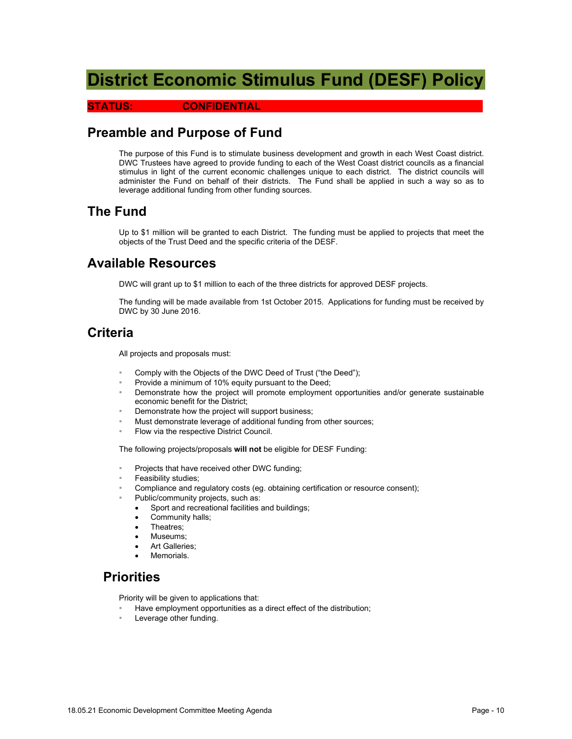## **District Economic Stimulus Fund (DESF) Policy**

#### **STATUS: CONFIDENTIAL**

## **Preamble and Purpose of Fund**

The purpose of this Fund is to stimulate business development and growth in each West Coast district. DWC Trustees have agreed to provide funding to each of the West Coast district councils as a financial stimulus in light of the current economic challenges unique to each district. The district councils will administer the Fund on behalf of their districts. The Fund shall be applied in such a way so as to leverage additional funding from other funding sources.

## **The Fund**

Up to \$1 million will be granted to each District. The funding must be applied to projects that meet the objects of the Trust Deed and the specific criteria of the DESF.

## **Available Resources**

DWC will grant up to \$1 million to each of the three districts for approved DESF projects.

The funding will be made available from 1st October 2015. Applications for funding must be received by DWC by 30 June 2016.

## **Criteria**

All projects and proposals must:

- Comply with the Objects of the DWC Deed of Trust ("the Deed");
- Provide a minimum of 10% equity pursuant to the Deed;
- Demonstrate how the project will promote employment opportunities and/or generate sustainable economic benefit for the District;
- Demonstrate how the project will support business;
- Must demonstrate leverage of additional funding from other sources;
- Flow via the respective District Council.

The following projects/proposals **will not** be eligible for DESF Funding:

- Projects that have received other DWC funding;
- Feasibility studies;
- Compliance and regulatory costs (eg. obtaining certification or resource consent);
- Public/community projects, such as:
	- Sport and recreational facilities and buildings;
	- Community halls;
	- Theatres;
	- Museums;
	- Art Galleries;
	- **Memorials**

## **Priorities**

Priority will be given to applications that:

- Have employment opportunities as a direct effect of the distribution;
- Leverage other funding.